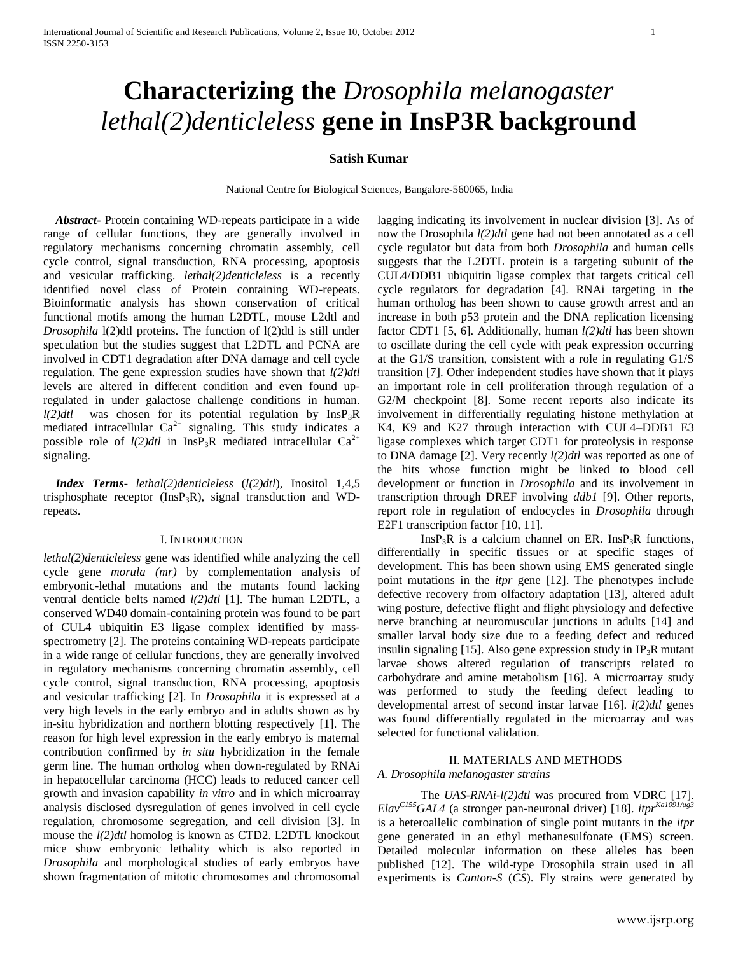# **Characterizing the** *Drosophila melanogaster lethal(2)denticleless* **gene in InsP3R background**

# **Satish Kumar**

National Centre for Biological Sciences, Bangalore-560065, India

 *Abstract***-** Protein containing WD-repeats participate in a wide range of cellular functions, they are generally involved in regulatory mechanisms concerning chromatin assembly, cell cycle control, signal transduction, RNA processing, apoptosis and vesicular trafficking. *lethal(2)denticleless* is a recently identified novel class of Protein containing WD-repeats. Bioinformatic analysis has shown conservation of critical functional motifs among the human L2DTL, mouse L2dtl and *Drosophila* l(2)dtl proteins. The function of l(2)dtl is still under speculation but the studies suggest that L2DTL and PCNA are involved in CDT1 degradation after DNA damage and cell cycle regulation. The gene expression studies have shown that *l(2)dtl* levels are altered in different condition and even found upregulated in under galactose challenge conditions in human. *l(2)dtl* was chosen for its potential regulation by InsP3R mediated intracellular  $Ca^{2+}$  signaling. This study indicates a possible role of  $l(2)dt$  in InsP<sub>3</sub>R mediated intracellular Ca<sup>2+</sup> signaling.

 *Index Terms*- *lethal(2)denticleless* (*l(2)dtl*), Inositol 1,4,5 trisphosphate receptor (InsP<sub>3</sub>R), signal transduction and WDrepeats.

## I. INTRODUCTION

*lethal(2)denticleless* gene was identified while analyzing the cell cycle gene *morula (mr)* by complementation analysis of embryonic-lethal mutations and the mutants found lacking ventral denticle belts named *l(2)dtl* [1]. The human L2DTL, a conserved WD40 domain-containing protein was found to be part of CUL4 ubiquitin E3 ligase complex identified by massspectrometry [2]. The proteins containing WD-repeats participate in a wide range of cellular functions, they are generally involved in regulatory mechanisms concerning chromatin assembly, cell cycle control, signal transduction, RNA processing, apoptosis and vesicular trafficking [2]. In *Drosophila* it is expressed at a very high levels in the early embryo and in adults shown as by in-situ hybridization and northern blotting respectively [1]. The reason for high level expression in the early embryo is maternal contribution confirmed by *in situ* hybridization in the female germ line. The human ortholog when down-regulated by RNAi in hepatocellular carcinoma (HCC) leads to reduced cancer cell growth and invasion capability *in vitro* and in which microarray analysis disclosed dysregulation of genes involved in cell cycle regulation, chromosome segregation, and cell division [3]. In mouse the *l(2)dtl* homolog is known as CTD2. L2DTL knockout mice show embryonic lethality which is also reported in *Drosophila* and morphological studies of early embryos have shown fragmentation of mitotic chromosomes and chromosomal

lagging indicating its involvement in nuclear division [3]. As of now the Drosophila *l(2)dtl* gene had not been annotated as a cell cycle regulator but data from both *Drosophila* and human cells suggests that the L2DTL protein is a targeting subunit of the CUL4/DDB1 ubiquitin ligase complex that targets critical cell cycle regulators for degradation [4]. RNAi targeting in the human ortholog has been shown to cause growth arrest and an increase in both p53 protein and the DNA replication licensing factor CDT1 [5, 6]. Additionally, human *l(2)dtl* has been shown to oscillate during the cell cycle with peak expression occurring at the G1/S transition, consistent with a role in regulating G1/S transition [7]. Other independent studies have shown that it plays an important role in cell proliferation through regulation of a G2/M checkpoint [8]. Some recent reports also indicate its involvement in differentially regulating histone methylation at K4, K9 and K27 through interaction with CUL4–DDB1 E3 ligase complexes which target CDT1 for proteolysis in response to DNA damage [2]. Very recently *l(2)dtl* was reported as one of the hits whose function might be linked to blood cell development or function in *Drosophila* and its involvement in transcription through DREF involving *ddb1* [9]. Other reports, report role in regulation of endocycles in *Drosophila* through E2F1 transcription factor [10, 11].

 $InsP<sub>3</sub>R$  is a calcium channel on ER. InsP<sub>3</sub>R functions, differentially in specific tissues or at specific stages of development. This has been shown using EMS generated single point mutations in the *itpr* gene [12]. The phenotypes include defective recovery from olfactory adaptation [13], altered adult wing posture, defective flight and flight physiology and defective nerve branching at neuromuscular junctions in adults [14] and smaller larval body size due to a feeding defect and reduced insulin signaling [15]. Also gene expression study in  $IP_3R$  mutant larvae shows altered regulation of transcripts related to carbohydrate and amine metabolism [16]. A micrroarray study was performed to study the feeding defect leading to developmental arrest of second instar larvae [16]. *l(2)dtl* genes was found differentially regulated in the microarray and was selected for functional validation.

## II. MATERIALS AND METHODS

# *A. Drosophila melanogaster strains*

The *UAS-RNAi-l(2)dtl* was procured from VDRC [17]. *ElavC155GAL4* (a stronger pan-neuronal driver) [18]. *itprKa1091/ug3* is a heteroallelic combination of single point mutants in the *itpr* gene generated in an ethyl methanesulfonate (EMS) screen. Detailed molecular information on these alleles has been published [12]. The wild-type Drosophila strain used in all experiments is *Canton-S* (*CS*). Fly strains were generated by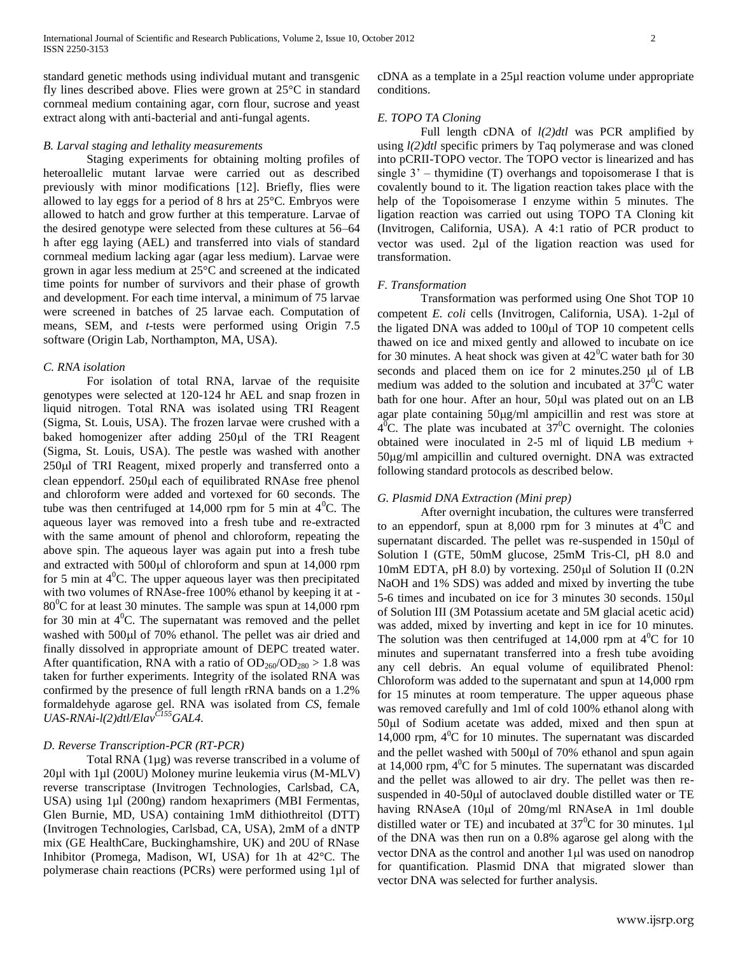standard genetic methods using individual mutant and transgenic fly lines described above. Flies were grown at 25°C in standard cornmeal medium containing agar, corn flour, sucrose and yeast extract along with anti-bacterial and anti-fungal agents.

## *B. Larval staging and lethality measurements*

Staging experiments for obtaining molting profiles of heteroallelic mutant larvae were carried out as described previously with minor modifications [12]. Briefly, flies were allowed to lay eggs for a period of 8 hrs at 25°C. Embryos were allowed to hatch and grow further at this temperature. Larvae of the desired genotype were selected from these cultures at 56–64 h after egg laying (AEL) and transferred into vials of standard cornmeal medium lacking agar (agar less medium). Larvae were grown in agar less medium at 25°C and screened at the indicated time points for number of survivors and their phase of growth and development. For each time interval, a minimum of 75 larvae were screened in batches of 25 larvae each. Computation of means, SEM, and *t-*tests were performed using Origin 7.5 software (Origin Lab, Northampton, MA, USA).

#### *C. RNA isolation*

For isolation of total RNA, larvae of the requisite genotypes were selected at 120-124 hr AEL and snap frozen in liquid nitrogen. Total RNA was isolated using TRI Reagent (Sigma, St. Louis, USA). The frozen larvae were crushed with a baked homogenizer after adding 250µl of the TRI Reagent (Sigma, St. Louis, USA). The pestle was washed with another 250 $\mu$ l of TRI Reagent, mixed properly and transferred onto a clean eppendorf. 250 $\mu$ l each of equilibrated RNAse free phenol and chloroform were added and vortexed for 60 seconds. The tube was then centrifuged at 14,000 rpm for 5 min at  $4^{\circ}$ C. The aqueous layer was removed into a fresh tube and re-extracted with the same amount of phenol and chloroform, repeating the above spin. The aqueous layer was again put into a fresh tube and extracted with 500 $\mu$ l of chloroform and spun at 14,000 rpm for 5 min at  $4^{\circ}$ C. The upper aqueous layer was then precipitated with two volumes of RNAse-free 100% ethanol by keeping it at -  $80^{\circ}$ C for at least 30 minutes. The sample was spun at 14,000 rpm for 30 min at  $4^{\circ}$ C. The supernatant was removed and the pellet washed with 500 $\mu$ l of 70% ethanol. The pellet was air dried and finally dissolved in appropriate amount of DEPC treated water. After quantification, RNA with a ratio of  $OD_{260}/OD_{280} > 1.8$  was taken for further experiments. Integrity of the isolated RNA was confirmed by the presence of full length rRNA bands on a 1.2% formaldehyde agarose gel. RNA was isolated from *CS*, female *UAS-RNAi-l(2)dtl/ElavC155GAL4.*

## *D. Reverse Transcription-PCR (RT-PCR)*

Total RNA (1µg) was reverse transcribed in a volume of 20µl with 1µl (200U) Moloney murine leukemia virus (M-MLV) reverse transcriptase (Invitrogen Technologies, Carlsbad, CA, USA) using 1µl (200ng) random hexaprimers (MBI Fermentas, Glen Burnie, MD, USA) containing 1mM dithiothreitol (DTT) (Invitrogen Technologies, Carlsbad, CA, USA), 2mM of a dNTP mix (GE HealthCare, Buckinghamshire, UK) and 20U of RNase Inhibitor (Promega, Madison, WI, USA) for 1h at 42°C. The polymerase chain reactions (PCRs) were performed using 1µl of

cDNA as a template in a 25µl reaction volume under appropriate conditions.

## *E. TOPO TA Cloning*

Full length cDNA of *l(2)dtl* was PCR amplified by using *l(2)dtl* specific primers by Taq polymerase and was cloned into pCRII-TOPO vector. The TOPO vector is linearized and has single  $3'$  – thymidine (T) overhangs and topoisomerase I that is covalently bound to it. The ligation reaction takes place with the help of the Topoisomerase I enzyme within 5 minutes. The ligation reaction was carried out using TOPO TA Cloning kit (Invitrogen, California, USA). A 4:1 ratio of PCR product to vector was used.  $2\mu l$  of the ligation reaction was used for transformation.

#### *F. Transformation*

Transformation was performed using One Shot TOP 10 competent *E. coli* cells (Invitrogen, California, USA). 1-2µl of the ligated DNA was added to 100µl of TOP 10 competent cells thawed on ice and mixed gently and allowed to incubate on ice for 30 minutes. A heat shock was given at  $42^{\circ}$ C water bath for 30 seconds and placed them on ice for  $2$  minutes.250  $\mu$ l of LB medium was added to the solution and incubated at  $37^{\circ}$ C water bath for one hour. After an hour, 50µl was plated out on an LB agar plate containing  $50\mu g/ml$  ampicillin and rest was store at  $4^{6}$ C. The plate was incubated at  $37^{6}$ C overnight. The colonies obtained were inoculated in 2-5 ml of liquid LB medium + 50g/ml ampicillin and cultured overnight. DNA was extracted following standard protocols as described below.

## *G. Plasmid DNA Extraction (Mini prep)*

After overnight incubation, the cultures were transferred to an eppendorf, spun at 8,000 rpm for 3 minutes at  $4^0C$  and supernatant discarded. The pellet was re-suspended in 150 $\mu$ l of Solution I (GTE, 50mM glucose, 25mM Tris-Cl, pH 8.0 and 10mM EDTA, pH 8.0) by vortexing. 250µl of Solution II (0.2N NaOH and 1% SDS) was added and mixed by inverting the tube 5-6 times and incubated on ice for 3 minutes 30 seconds. 150 $\mu$ l of Solution III (3M Potassium acetate and 5M glacial acetic acid) was added, mixed by inverting and kept in ice for 10 minutes. The solution was then centrifuged at  $14,000$  rpm at  $4^{\circ}$ C for 10 minutes and supernatant transferred into a fresh tube avoiding any cell debris. An equal volume of equilibrated Phenol: Chloroform was added to the supernatant and spun at 14,000 rpm for 15 minutes at room temperature. The upper aqueous phase was removed carefully and 1ml of cold 100% ethanol along with 50ul of Sodium acetate was added, mixed and then spun at 14,000 rpm,  $4^{\circ}$ C for 10 minutes. The supernatant was discarded and the pellet washed with  $500\mu$  of  $70\%$  ethanol and spun again at  $14,000$  rpm,  $4^{\circ}$ C for 5 minutes. The supernatant was discarded and the pellet was allowed to air dry. The pellet was then resuspended in 40-50µl of autoclaved double distilled water or TE having RNAseA  $(10\mu l \text{ of } 20\text{mg/ml RNA}$  RNAseA in 1ml double distilled water or TE) and incubated at  $37^0C$  for 30 minutes. 1µl of the DNA was then run on a 0.8% agarose gel along with the vector DNA as the control and another 1 µl was used on nanodrop for quantification. Plasmid DNA that migrated slower than vector DNA was selected for further analysis.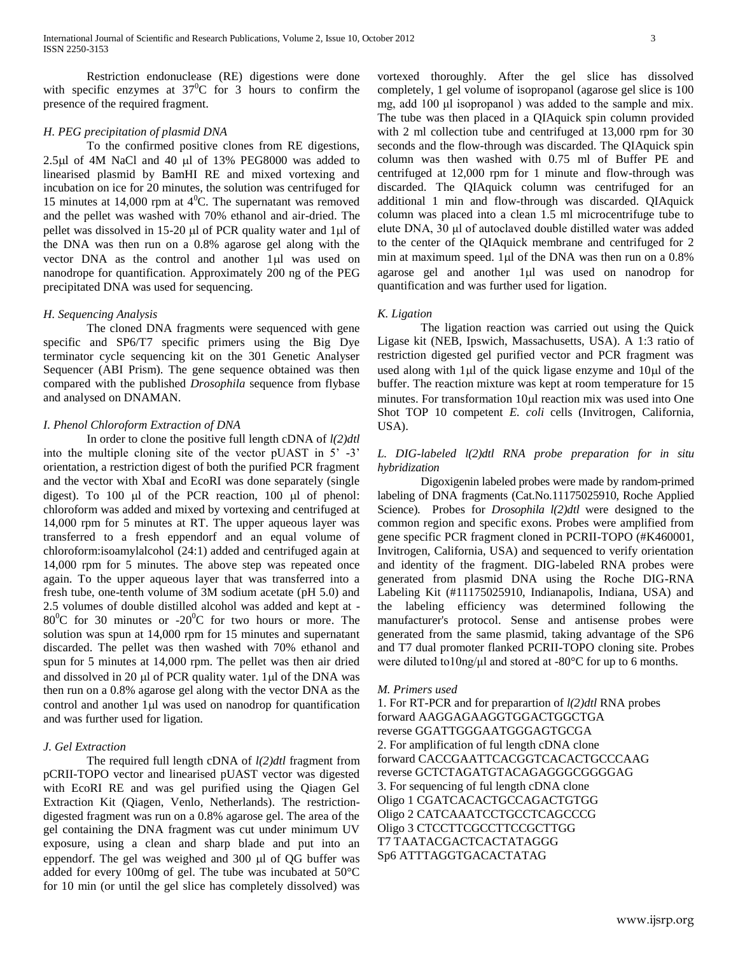Restriction endonuclease (RE) digestions were done with specific enzymes at  $37^{\circ}$ C for 3 hours to confirm the presence of the required fragment.

## *H. PEG precipitation of plasmid DNA*

To the confirmed positive clones from RE digestions,  $2.5\mu$ l of 4M NaCl and 40  $\mu$ l of 13% PEG8000 was added to linearised plasmid by BamHI RE and mixed vortexing and incubation on ice for 20 minutes, the solution was centrifuged for 15 minutes at 14,000 rpm at  $4^{\circ}$ C. The supernatant was removed and the pellet was washed with 70% ethanol and air-dried. The pellet was dissolved in 15-20  $\mu$ l of PCR quality water and 1 $\mu$ l of the DNA was then run on a 0.8% agarose gel along with the vector DNA as the control and another 1µl was used on nanodrope for quantification. Approximately 200 ng of the PEG precipitated DNA was used for sequencing.

## *H. Sequencing Analysis*

The cloned DNA fragments were sequenced with gene specific and SP6/T7 specific primers using the Big Dye terminator cycle sequencing kit on the 301 Genetic Analyser Sequencer (ABI Prism). The gene sequence obtained was then compared with the published *Drosophila* sequence from flybase and analysed on DNAMAN.

## *I. Phenol Chloroform Extraction of DNA*

In order to clone the positive full length cDNA of *l(2)dtl* into the multiple cloning site of the vector pUAST in 5' -3' orientation, a restriction digest of both the purified PCR fragment and the vector with XbaI and EcoRI was done separately (single digest). To 100  $\mu$ l of the PCR reaction, 100  $\mu$ l of phenol: chloroform was added and mixed by vortexing and centrifuged at 14,000 rpm for 5 minutes at RT. The upper aqueous layer was transferred to a fresh eppendorf and an equal volume of chloroform:isoamylalcohol (24:1) added and centrifuged again at 14,000 rpm for 5 minutes. The above step was repeated once again. To the upper aqueous layer that was transferred into a fresh tube, one-tenth volume of 3M sodium acetate (pH 5.0) and 2.5 volumes of double distilled alcohol was added and kept at -  $80^{\circ}$ C for 30 minutes or -20<sup>°</sup>C for two hours or more. The solution was spun at 14,000 rpm for 15 minutes and supernatant discarded. The pellet was then washed with 70% ethanol and spun for 5 minutes at 14,000 rpm. The pellet was then air dried and dissolved in 20  $\mu$ l of PCR quality water. 1 $\mu$ l of the DNA was then run on a 0.8% agarose gel along with the vector DNA as the control and another  $1\mu$  was used on nanodrop for quantification and was further used for ligation.

## *J. Gel Extraction*

The required full length cDNA of *l(2)dtl* fragment from pCRII-TOPO vector and linearised pUAST vector was digested with EcoRI RE and was gel purified using the Qiagen Gel Extraction Kit (Qiagen, Venlo, Netherlands). The restrictiondigested fragment was run on a 0.8% agarose gel. The area of the gel containing the DNA fragment was cut under minimum UV exposure, using a clean and sharp blade and put into an eppendorf. The gel was weighed and  $300 \mu$  of QG buffer was added for every 100mg of gel. The tube was incubated at 50°C for 10 min (or until the gel slice has completely dissolved) was

vortexed thoroughly. After the gel slice has dissolved completely, 1 gel volume of isopropanol (agarose gel slice is 100 mg, add 100 μl isopropanol ) was added to the sample and mix. The tube was then placed in a QIAquick spin column provided with 2 ml collection tube and centrifuged at 13,000 rpm for 30 seconds and the flow-through was discarded. The QIAquick spin column was then washed with 0.75 ml of Buffer PE and centrifuged at 12,000 rpm for 1 minute and flow-through was discarded. The QIAquick column was centrifuged for an additional 1 min and flow-through was discarded. QIAquick column was placed into a clean 1.5 ml microcentrifuge tube to elute DNA, 30 μl of autoclaved double distilled water was added to the center of the QIAquick membrane and centrifuged for 2 min at maximum speed.  $1 \mu l$  of the DNA was then run on a 0.8% agarose gel and another 1µl was used on nanodrop for quantification and was further used for ligation.

## *K. Ligation*

The ligation reaction was carried out using the Quick Ligase kit (NEB, Ipswich, Massachusetts, USA). A 1:3 ratio of restriction digested gel purified vector and PCR fragment was used along with  $1\mu$ l of the quick ligase enzyme and  $10\mu$ l of the buffer. The reaction mixture was kept at room temperature for 15 minutes. For transformation  $10\mu l$  reaction mix was used into One Shot TOP 10 competent *E. coli* cells (Invitrogen, California, USA).

## *L. DIG-labeled l(2)dtl RNA probe preparation for in situ hybridization*

Digoxigenin labeled probes were made by random-primed labeling of DNA fragments (Cat.No.11175025910, Roche Applied Science). Probes for *Drosophila l(2)dtl* were designed to the common region and specific exons. Probes were amplified from gene specific PCR fragment cloned in PCRII-TOPO (#K460001, Invitrogen, California, USA) and sequenced to verify orientation and identity of the fragment. DIG-labeled RNA probes were generated from plasmid DNA using the Roche DIG-RNA Labeling Kit (#11175025910, Indianapolis, Indiana, USA) and the labeling efficiency was determined following the manufacturer's protocol. Sense and antisense probes were generated from the same plasmid, taking advantage of the SP6 and T7 dual promoter flanked PCRII-TOPO cloning site. Probes were diluted to10ng/μl and stored at -80°C for up to 6 months.

#### *M. Primers used*

1. For RT-PCR and for preparartion of *l(2)dtl* RNA probes forward AAGGAGAAGGTGGACTGGCTGA reverse GGATTGGGAATGGGAGTGCGA 2. For amplification of ful length cDNA clone forward CACCGAATTCACGGTCACACTGCCCAAG reverse GCTCTAGATGTACAGAGGGCGGGGAG 3. For sequencing of ful length cDNA clone Oligo 1 CGATCACACTGCCAGACTGTGG Oligo 2 CATCAAATCCTGCCTCAGCCCG Oligo 3 CTCCTTCGCCTTCCGCTTGG T7 TAATACGACTCACTATAGGG Sp6 ATTTAGGTGACACTATAG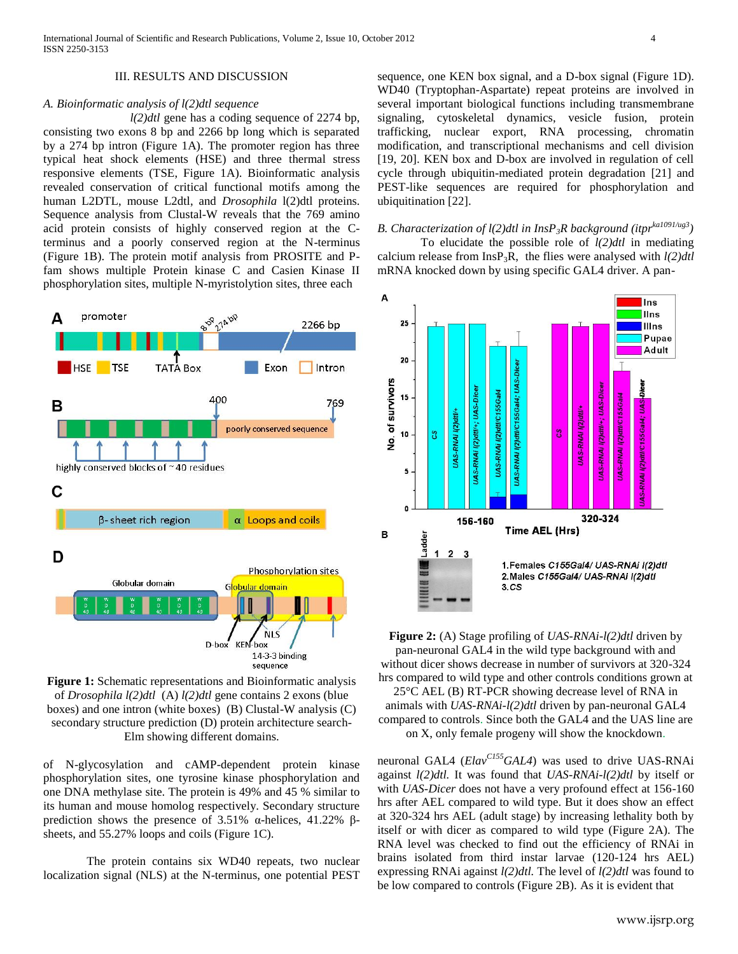#### III. RESULTS AND DISCUSSION

#### *A. Bioinformatic analysis of l(2)dtl sequence*

*l(2)dtl* gene has a coding sequence of 2274 bp, consisting two exons 8 bp and 2266 bp long which is separated by a 274 bp intron (Figure 1A). The promoter region has three typical heat shock elements (HSE) and three thermal stress responsive elements (TSE, Figure 1A). Bioinformatic analysis revealed conservation of critical functional motifs among the human L2DTL, mouse L2dtl, and *Drosophila* l(2)dtl proteins. Sequence analysis from Clustal-W reveals that the 769 amino acid protein consists of highly conserved region at the Cterminus and a poorly conserved region at the N-terminus (Figure 1B). The protein motif analysis from PROSITE and Pfam shows multiple Protein kinase C and Casien Kinase II phosphorylation sites, multiple N-myristolytion sites, three each





of N-glycosylation and cAMP-dependent protein kinase phosphorylation sites, one tyrosine kinase phosphorylation and one DNA methylase site. The protein is 49% and 45 % similar to its human and mouse homolog respectively. Secondary structure prediction shows the presence of 3.51% α-helices, 41.22% βsheets, and 55.27% loops and coils (Figure 1C).

The protein contains six WD40 repeats, two nuclear localization signal (NLS) at the N-terminus, one potential PEST sequence, one KEN box signal, and a D-box signal (Figure 1D). WD40 (Tryptophan-Aspartate) repeat proteins are involved in several important biological functions including transmembrane signaling, cytoskeletal dynamics, vesicle fusion, protein trafficking, nuclear export, RNA processing, chromatin modification, and transcriptional mechanisms and cell division [19, 20]. KEN box and D-box are involved in regulation of cell cycle through ubiquitin-mediated protein degradation [21] and PEST-like sequences are required for phosphorylation and ubiquitination [22].

*B. Characterization of l(2)dtl in InsP3R background (itprka1091/ug3)* To elucidate the possible role of *l(2)dtl* in mediating calcium release from  $InsP_3R$ , the flies were analysed with  $l(2)dtl$ mRNA knocked down by using specific GAL4 driver. A pan-



**Figure 2:** (A) Stage profiling of *UAS-RNAi-l(2)dtl* driven by pan-neuronal GAL4 in the wild type background with and without dicer shows decrease in number of survivors at 320-324 hrs compared to wild type and other controls conditions grown at

25°C AEL (B) RT-PCR showing decrease level of RNA in animals with *UAS-RNAi-l(2)dtl* driven by pan-neuronal GAL4 compared to controls. Since both the GAL4 and the UAS line are on X, only female progeny will show the knockdown.

neuronal GAL4 (*ElavC155GAL4*) was used to drive UAS-RNAi against *l(2)dtl.* It was found that *UAS-RNAi-l(2)dtl* by itself or with *UAS-Dicer* does not have a very profound effect at 156-160 hrs after AEL compared to wild type. But it does show an effect at 320-324 hrs AEL (adult stage) by increasing lethality both by itself or with dicer as compared to wild type (Figure 2A). The RNA level was checked to find out the efficiency of RNAi in brains isolated from third instar larvae (120-124 hrs AEL) expressing RNAi against *l(2)dtl.* The level of *l(2)dtl* was found to be low compared to controls (Figure 2B). As it is evident that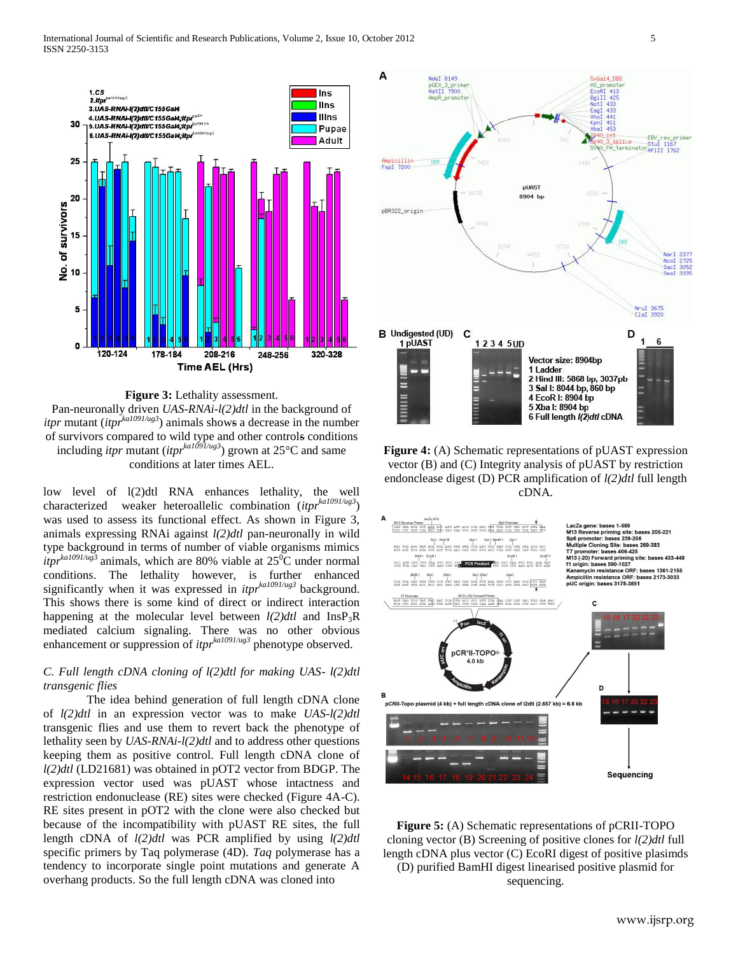



low level of l(2)dtl RNA enhances lethality, the well characterized weaker heteroallelic combination (*itprka1091/ug3*) was used to assess its functional effect. As shown in Figure 3, animals expressing RNAi against *l(2)dtl* pan-neuronally in wild type background in terms of number of viable organisms mimics  $i$ *tpr*<sup>ka1091/ug<sup>3</sup> animals, which are 80% viable at 25<sup>0</sup>C under normal</sup> conditions. The lethality however, is further enhanced significantly when it was expressed in *itprka1091/ug3* background. This shows there is some kind of direct or indirect interaction happening at the molecular level between  $l(2)dt$  and InsP<sub>3</sub>R mediated calcium signaling. There was no other obvious enhancement or suppression of *itprka1091/ug3* phenotype observed.

## *C. Full length cDNA cloning of l(2)dtl for making UAS- l(2)dtl transgenic flies*

The idea behind generation of full length cDNA clone of *l(2)dtl* in an expression vector was to make *UAS-l(2)dtl* transgenic flies and use them to revert back the phenotype of lethality seen by *UAS-RNAi-l(2)dtl* and to address other questions keeping them as positive control. Full length cDNA clone of *l(2)dtl* (LD21681) was obtained in pOT2 vector from BDGP. The expression vector used was pUAST whose intactness and restriction endonuclease (RE) sites were checked (Figure 4A-C). RE sites present in pOT2 with the clone were also checked but because of the incompatibility with pUAST RE sites, the full length cDNA of *l(2)dtl* was PCR amplified by using *l(2)dtl*  specific primers by Taq polymerase (4D). *Taq* polymerase has a tendency to incorporate single point mutations and generate A overhang products. So the full length cDNA was cloned into



**Figure 4:** (A) Schematic representations of pUAST expression vector (B) and (C) Integrity analysis of pUAST by restriction endonclease digest (D) PCR amplification of *l(2)dtl* full length cDNA.



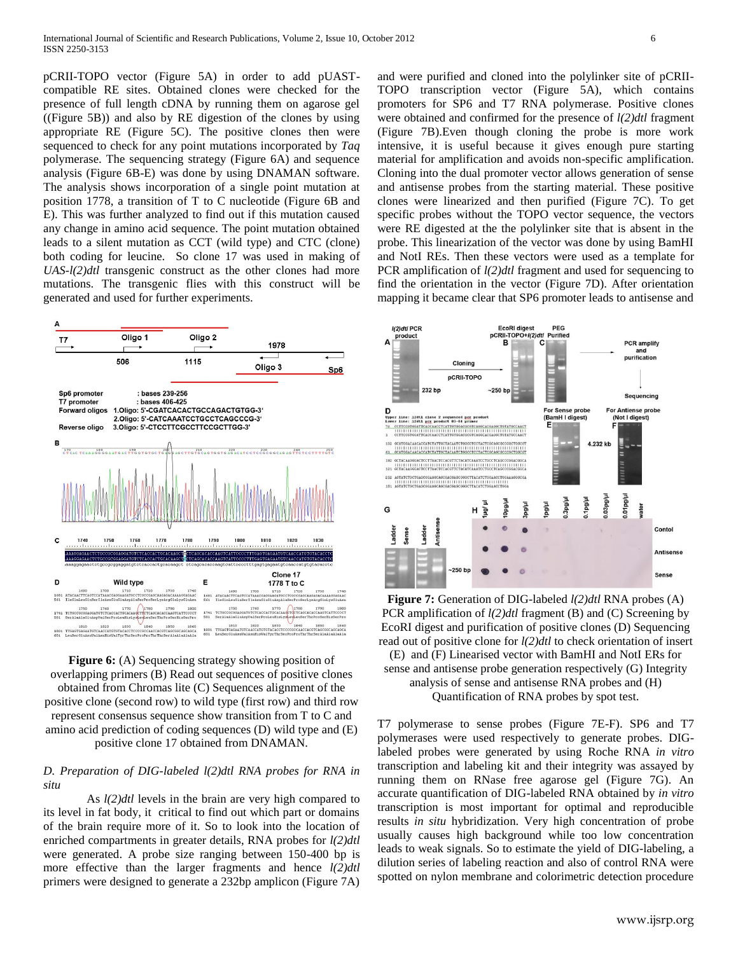pCRII-TOPO vector (Figure 5A) in order to add pUASTcompatible RE sites. Obtained clones were checked for the presence of full length cDNA by running them on agarose gel ((Figure 5B)) and also by RE digestion of the clones by using appropriate RE (Figure 5C). The positive clones then were sequenced to check for any point mutations incorporated by *Taq*  polymerase. The sequencing strategy (Figure 6A) and sequence analysis (Figure 6B-E) was done by using DNAMAN software. The analysis shows incorporation of a single point mutation at position 1778, a transition of T to C nucleotide (Figure 6B and E). This was further analyzed to find out if this mutation caused any change in amino acid sequence. The point mutation obtained leads to a silent mutation as CCT (wild type) and CTC (clone) both coding for leucine. So clone 17 was used in making of *UAS-l(2)dtl* transgenic construct as the other clones had more mutations. The transgenic flies with this construct will be generated and used for further experiments.



**Figure 6:** (A) Sequencing strategy showing position of overlapping primers (B) Read out sequences of positive clones obtained from Chromas lite (C) Sequences alignment of the positive clone (second row) to wild type (first row) and third row represent consensus sequence show transition from T to C and amino acid prediction of coding sequences (D) wild type and (E) positive clone 17 obtained from DNAMAN.

## *D. Preparation of DIG-labeled l(2)dtl RNA probes for RNA in situ*

As *l(2)dtl* levels in the brain are very high compared to its level in fat body, it critical to find out which part or domains of the brain require more of it. So to look into the location of enriched compartments in greater details, RNA probes for *l(2)dtl* were generated. A probe size ranging between 150-400 bp is more effective than the larger fragments and hence  $l(2)dt$ primers were designed to generate a 232bp amplicon (Figure 7A)

and were purified and cloned into the polylinker site of pCRII-TOPO transcription vector (Figure 5A), which contains promoters for SP6 and T7 RNA polymerase. Positive clones were obtained and confirmed for the presence of *l(2)dtl* fragment (Figure 7B).Even though cloning the probe is more work intensive, it is useful because it gives enough pure starting material for amplification and avoids non-specific amplification. Cloning into the dual promoter vector allows generation of sense and antisense probes from the starting material. These positive clones were linearized and then purified (Figure 7C). To get specific probes without the TOPO vector sequence, the vectors were RE digested at the the polylinker site that is absent in the probe. This linearization of the vector was done by using BamHI and NotI REs. Then these vectors were used as a template for PCR amplification of *l(2)dtl* fragment and used for sequencing to find the orientation in the vector (Figure 7D). After orientation mapping it became clear that SP6 promoter leads to antisense and



**Figure 7:** Generation of DIG-labeled *l(2)dtl* RNA probes (A) PCR amplification of *l(2)dtl* fragment (B) and (C) Screening by EcoRI digest and purification of positive clones (D) Sequencing read out of positive clone for *l(2)dtl* to check orientation of insert

(E) and (F) Linearised vector with BamHI and NotI ERs for sense and antisense probe generation respectively (G) Integrity analysis of sense and antisense RNA probes and (H) Quantification of RNA probes by spot test.

T7 polymerase to sense probes (Figure 7E-F). SP6 and T7 polymerases were used respectively to generate probes. DIGlabeled probes were generated by using Roche RNA *in vitro* transcription and labeling kit and their integrity was assayed by running them on RNase free agarose gel (Figure 7G). An accurate quantification of DIG-labeled RNA obtained by *in vitro*  transcription is most important for optimal and reproducible results *in situ* hybridization. Very high concentration of probe usually causes high background while too low concentration leads to weak signals. So to estimate the yield of DIG-labeling, a dilution series of labeling reaction and also of control RNA were spotted on nylon membrane and colorimetric detection procedure